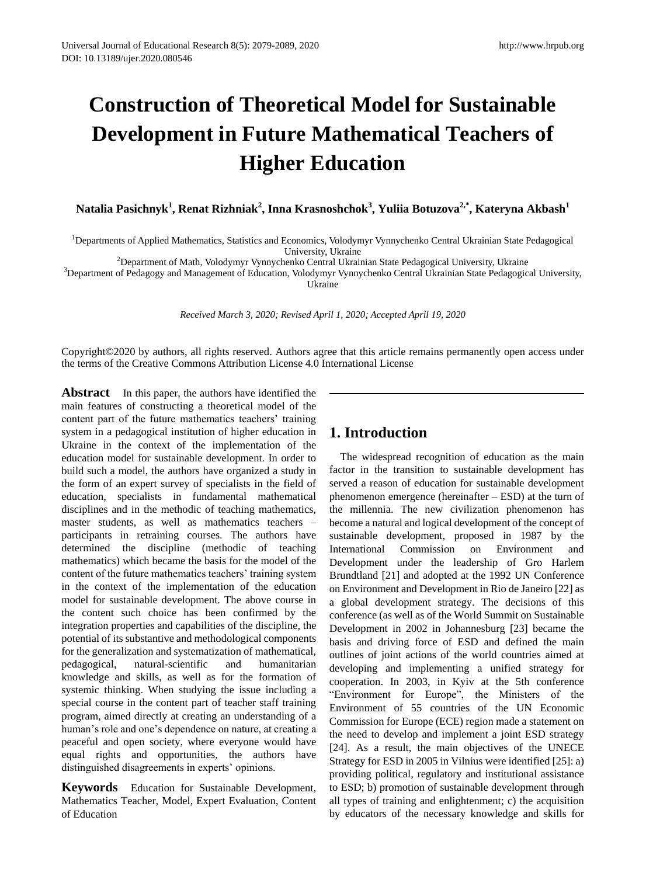# **Construction of Theoretical Model for Sustainable Development in Future Mathematical Teachers of Higher Education**

**Natalia Pasichnyk<sup>1</sup> , Renat Rizhniak<sup>2</sup> , Inna Krasnoshchok<sup>3</sup> , Yuliia Botuzova2,\* , Kateryna Akbash<sup>1</sup>**

<sup>1</sup>Departments of Applied Mathematics, Statistics and Economics, Volodymyr Vynnychenko Central Ukrainian State Pedagogical University, Ukraine

<sup>2</sup>Department of Math, Volodymyr Vynnychenko Central Ukrainian State Pedagogical University, Ukraine

<sup>3</sup>Department of Pedagogy and Management of Education, Volodymyr Vynnychenko Central Ukrainian State Pedagogical University, Ukraine

*Received March 3, 2020; Revised April 1, 2020; Accepted April 19, 2020*

Copyright©2020 by authors, all rights reserved. Authors agree that this article remains permanently open access under the terms of the Creative Commons Attribution License 4.0 International License

**Abstract** In this paper, the authors have identified the main features of constructing a theoretical model of the content part of the future mathematics teachers' training system in a pedagogical institution of higher education in Ukraine in the context of the implementation of the education model for sustainable development. In order to build such a model, the authors have organized a study in the form of an expert survey of specialists in the field of education, specialists in fundamental mathematical disciplines and in the methodic of teaching mathematics, master students, as well as mathematics teachers – participants in retraining courses. The authors have determined the discipline (methodic of teaching mathematics) which became the basis for the model of the content of the future mathematics teachers' training system in the context of the implementation of the education model for sustainable development. The above course in the content such choice has been confirmed by the integration properties and capabilities of the discipline, the potential of its substantive and methodological components for the generalization and systematization of mathematical, pedagogical, natural-scientific and humanitarian knowledge and skills, as well as for the formation of systemic thinking. When studying the issue including a special course in the content part of teacher staff training program, aimed directly at creating an understanding of a human's role and one's dependence on nature, at creating a peaceful and open society, where everyone would have equal rights and opportunities, the authors have distinguished disagreements in experts' opinions.

**Keywords** Education for Sustainable Development, Mathematics Teacher, Model, Expert Evaluation, Content of Education

# **1. Introduction**

The widespread recognition of education as the main factor in the transition to sustainable development has served a reason of education for sustainable development phenomenon emergence (hereinafter – ESD) at the turn of the millennia. The new civilization phenomenon has become a natural and logical development of the concept of sustainable development, proposed in 1987 by the International Commission on Environment and Development under the leadership of Gro Harlem Brundtland [21] and adopted at the 1992 UN Conference on Environment and Development in Rio de Janeiro [22] as a global development strategy. The decisions of this conference (as well as of the World Summit on Sustainable Development in 2002 in Johannesburg [23] became the basis and driving force of ESD and defined the main outlines of joint actions of the world countries aimed at developing and implementing a unified strategy for cooperation. In 2003, in Kyiv at the 5th conference "Environment for Europe", the Ministers of the Environment of 55 countries of the UN Economic Commission for Europe (ECE) region made a statement on the need to develop and implement a joint ESD strategy [24]. As a result, the main objectives of the UNECE Strategy for ESD in 2005 in Vilnius were identified [25]: a) providing political, regulatory and institutional assistance to ESD; b) promotion of sustainable development through all types of training and enlightenment; c) the acquisition by educators of the necessary knowledge and skills for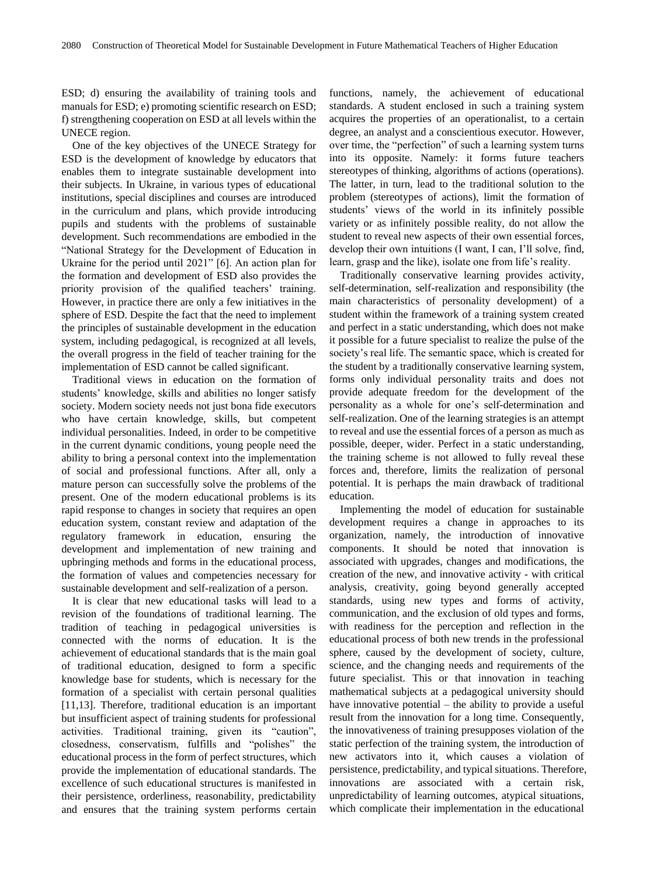ESD; d) ensuring the availability of training tools and manuals for ESD; e) promoting scientific research on ESD; f) strengthening cooperation on ESD at all levels within the UNECE region.

One of the key objectives of the UNECE Strategy for ESD is the development of knowledge by educators that enables them to integrate sustainable development into their subjects. In Ukraine, in various types of educational institutions, special disciplines and courses are introduced in the curriculum and plans, which provide introducing pupils and students with the problems of sustainable development. Such recommendations are embodied in the "National Strategy for the Development of Education in Ukraine for the period until 2021" [6]. An action plan for the formation and development of ESD also provides the priority provision of the qualified teachers' training. However, in practice there are only a few initiatives in the sphere of ESD. Despite the fact that the need to implement the principles of sustainable development in the education system, including pedagogical, is recognized at all levels, the overall progress in the field of teacher training for the implementation of ESD cannot be called significant.

Traditional views in education on the formation of students' knowledge, skills and abilities no longer satisfy society. Modern society needs not just bona fide executors who have certain knowledge, skills, but competent individual personalities. Indeed, in order to be competitive in the current dynamic conditions, young people need the ability to bring a personal context into the implementation of social and professional functions. After all, only a mature person can successfully solve the problems of the present. One of the modern educational problems is its rapid response to changes in society that requires an open education system, constant review and adaptation of the regulatory framework in education, ensuring the development and implementation of new training and upbringing methods and forms in the educational process, the formation of values and competencies necessary for sustainable development and self-realization of a person.

It is clear that new educational tasks will lead to a revision of the foundations of traditional learning. The tradition of teaching in pedagogical universities is connected with the norms of education. It is the achievement of educational standards that is the main goal of traditional education, designed to form a specific knowledge base for students, which is necessary for the formation of a specialist with certain personal qualities [11,13]. Therefore, traditional education is an important but insufficient aspect of training students for professional activities. Traditional training, given its "caution", closedness, conservatism, fulfills and "polishes" the educational process in the form of perfect structures, which provide the implementation of educational standards. The excellence of such educational structures is manifested in their persistence, orderliness, reasonability, predictability and ensures that the training system performs certain

functions, namely, the achievement of educational standards. A student enclosed in such a training system acquires the properties of an operationalist, to a certain degree, an analyst and a conscientious executor. However, over time, the "perfection" of such a learning system turns into its opposite. Namely: it forms future teachers stereotypes of thinking, algorithms of actions (operations). The latter, in turn, lead to the traditional solution to the problem (stereotypes of actions), limit the formation of students' views of the world in its infinitely possible variety or as infinitely possible reality, do not allow the student to reveal new aspects of their own essential forces, develop their own intuitions (I want, I can, I'll solve, find, learn, grasp and the like), isolate one from life's reality.

Traditionally conservative learning provides activity, self-determination, self-realization and responsibility (the main characteristics of personality development) of a student within the framework of a training system created and perfect in a static understanding, which does not make it possible for a future specialist to realize the pulse of the society's real life. The semantic space, which is created for the student by a traditionally conservative learning system, forms only individual personality traits and does not provide adequate freedom for the development of the personality as a whole for one's self-determination and self-realization. One of the learning strategies is an attempt to reveal and use the essential forces of a person as much as possible, deeper, wider. Perfect in a static understanding, the training scheme is not allowed to fully reveal these forces and, therefore, limits the realization of personal potential. It is perhaps the main drawback of traditional education.

Implementing the model of education for sustainable development requires a change in approaches to its organization, namely, the introduction of innovative components. It should be noted that innovation is associated with upgrades, changes and modifications, the creation of the new, and innovative activity - with critical analysis, creativity, going beyond generally accepted standards, using new types and forms of activity, communication, and the exclusion of old types and forms, with readiness for the perception and reflection in the educational process of both new trends in the professional sphere, caused by the development of society, culture, science, and the changing needs and requirements of the future specialist. This or that innovation in teaching mathematical subjects at a pedagogical university should have innovative potential – the ability to provide a useful result from the innovation for a long time. Consequently, the innovativeness of training presupposes violation of the static perfection of the training system, the introduction of new activators into it, which causes a violation of persistence, predictability, and typical situations. Therefore, innovations are associated with a certain risk, unpredictability of learning outcomes, atypical situations, which complicate their implementation in the educational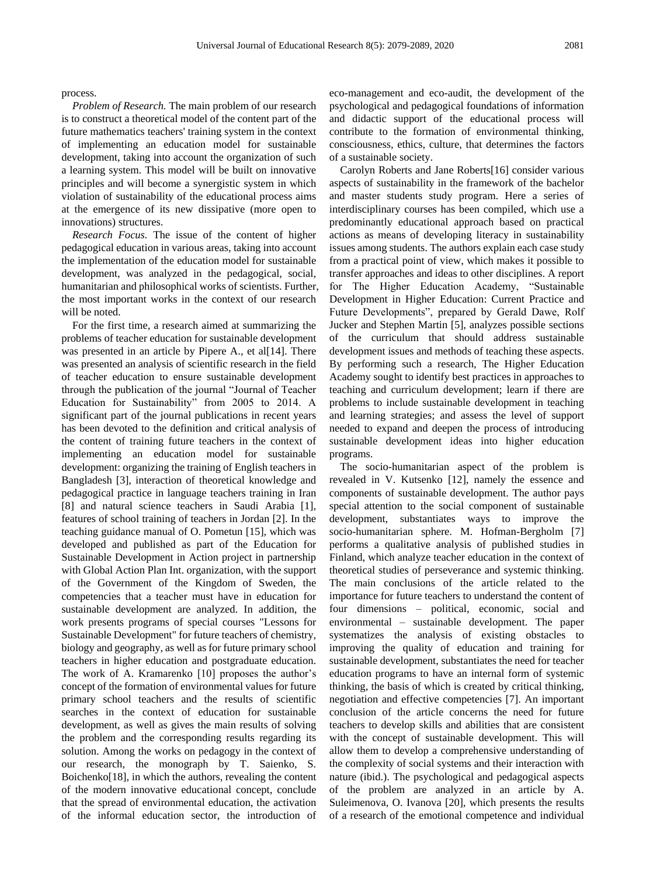#### process.

*Problem of Research.* The main problem of our research is to construct a theoretical model of the content part of the future mathematics teachers' training system in the context of implementing an education model for sustainable development, taking into account the organization of such a learning system. This model will be built on innovative principles and will become a synergistic system in which violation of sustainability of the educational process aims at the emergence of its new dissipative (more open to innovations) structures.

*Research Focus.* The issue of the content of higher pedagogical education in various areas, taking into account the implementation of the education model for sustainable development, was analyzed in the pedagogical, social, humanitarian and philosophical works of scientists. Further, the most important works in the context of our research will be noted.

For the first time, a research aimed at summarizing the problems of teacher education for sustainable development was presented in an article by Pipere A., et al[14]. There was presented an analysis of scientific research in the field of teacher education to ensure sustainable development through the publication of the journal "Journal of Teacher Education for Sustainability" from 2005 to 2014. A significant part of the journal publications in recent years has been devoted to the definition and critical analysis of the content of training future teachers in the context of implementing an education model for sustainable development: organizing the training of English teachers in Bangladesh [3], interaction of theoretical knowledge and pedagogical practice in language teachers training in Iran [8] and natural science teachers in Saudi Arabia [1], features of school training of teachers in Jordan [2]. In the teaching guidance manual of O. Pometun [15], which was developed and published as part of the Education for Sustainable Development in Action project in partnership with Global Action Plan Int. organization, with the support of the Government of the Kingdom of Sweden, the competencies that a teacher must have in education for sustainable development are analyzed. In addition, the work presents programs of special courses "Lessons for Sustainable Development" for future teachers of chemistry, biology and geography, as well as for future primary school teachers in higher education and postgraduate education. The work of A. Kramarenko [10] proposes the author's concept of the formation of environmental values for future primary school teachers and the results of scientific searches in the context of education for sustainable development, as well as gives the main results of solving the problem and the corresponding results regarding its solution. Among the works on pedagogy in the context of our research, the monograph by T. Saienko, S. Boichenko[18], in which the authors, revealing the content of the modern innovative educational concept, conclude that the spread of environmental education, the activation of the informal education sector, the introduction of eco-management and eco-audit, the development of the psychological and pedagogical foundations of information and didactic support of the educational process will contribute to the formation of environmental thinking, consciousness, ethics, culture, that determines the factors of a sustainable society.

Carolyn Roberts and Jane Roberts[16] consider various aspects of sustainability in the framework of the bachelor and master students study program. Here a series of interdisciplinary courses has been compiled, which use a predominantly educational approach based on practical actions as means of developing literacy in sustainability issues among students. The authors explain each case study from a practical point of view, which makes it possible to transfer approaches and ideas to other disciplines. A report for The Higher Education Academy, "Sustainable Development in Higher Education: Current Practice and Future Developments", prepared by Gerald Dawe, Rolf Jucker and Stephen Martin [5], analyzes possible sections of the curriculum that should address sustainable development issues and methods of teaching these aspects. By performing such a research, The Higher Education Academy sought to identify best practices in approaches to teaching and curriculum development; learn if there are problems to include sustainable development in teaching and learning strategies; and assess the level of support needed to expand and deepen the process of introducing sustainable development ideas into higher education programs.

The socio-humanitarian aspect of the problem is revealed in V. Kutsenko [12], namely the essence and components of sustainable development. The author pays special attention to the social component of sustainable development, substantiates ways to improve the socio-humanitarian sphere. M. Hofman-Bergholm [7] performs a qualitative analysis of published studies in Finland, which analyze teacher education in the context of theoretical studies of perseverance and systemic thinking. The main conclusions of the article related to the importance for future teachers to understand the content of four dimensions – political, economic, social and environmental – sustainable development. The paper systematizes the analysis of existing obstacles to improving the quality of education and training for sustainable development, substantiates the need for teacher education programs to have an internal form of systemic thinking, the basis of which is created by critical thinking, negotiation and effective competencies [7]. An important conclusion of the article concerns the need for future teachers to develop skills and abilities that are consistent with the concept of sustainable development. This will allow them to develop a comprehensive understanding of the complexity of social systems and their interaction with nature (ibid.). The psychological and pedagogical aspects of the problem are analyzed in an article by A. Suleimenova, O. Ivanova [20], which presents the results of a research of the emotional competence and individual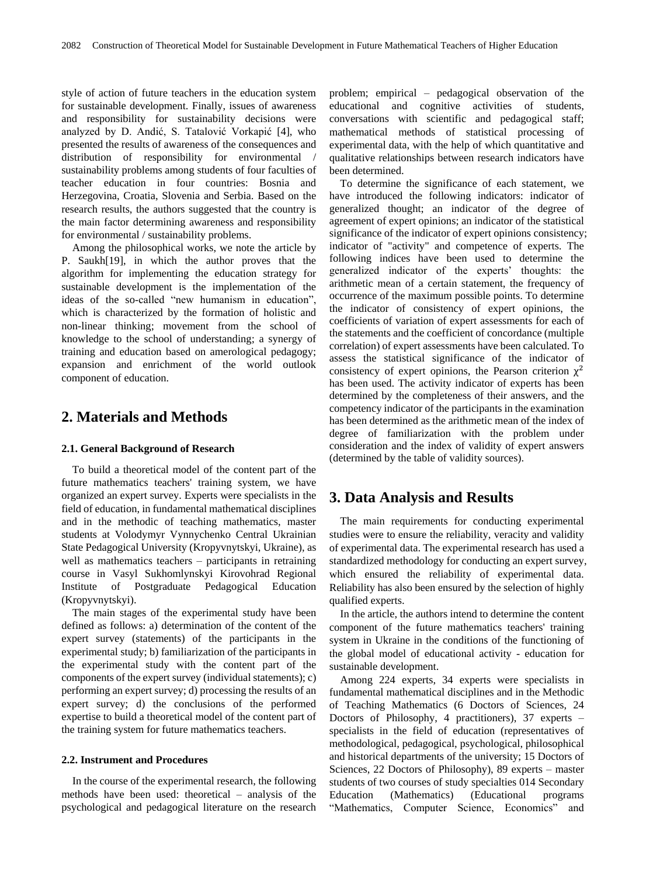style of action of future teachers in the education system for sustainable development. Finally, issues of awareness and responsibility for sustainability decisions were analyzed by D. Andić, S. Tatalović Vorkapić [4], who presented the results of awareness of the consequences and distribution of responsibility for environmental / sustainability problems among students of four faculties of teacher education in four countries: Bosnia and Herzegovina, Croatia, Slovenia and Serbia. Based on the research results, the authors suggested that the country is the main factor determining awareness and responsibility for environmental / sustainability problems.

Among the philosophical works, we note the article by P. Saukh[19], in which the author proves that the algorithm for implementing the education strategy for sustainable development is the implementation of the ideas of the so-called "new humanism in education", which is characterized by the formation of holistic and non-linear thinking; movement from the school of knowledge to the school of understanding; a synergy of training and education based on amerological pedagogy; expansion and enrichment of the world outlook component of education.

# **2. Materials and Methods**

#### **2.1. General Background of Research**

To build a theoretical model of the content part of the future mathematics teachers' training system, we have organized an expert survey. Experts were specialists in the field of education, in fundamental mathematical disciplines and in the methodic of teaching mathematics, master students at Volodymyr Vynnychenko Central Ukrainian State Pedagogical University (Kropyvnytskyi, Ukraine), as well as mathematics teachers – participants in retraining course in Vasyl Sukhomlynskyi Kirovohrad Regional Institute of Postgraduate Pedagogical Education (Kropyvnytskyi).

The main stages of the experimental study have been defined as follows: a) determination of the content of the expert survey (statements) of the participants in the experimental study; b) familiarization of the participants in the experimental study with the content part of the components of the expert survey (individual statements); c) performing an expert survey; d) processing the results of an expert survey; d) the conclusions of the performed expertise to build a theoretical model of the content part of the training system for future mathematics teachers.

#### **2.2. Instrument and Procedures**

In the course of the experimental research, the following methods have been used: theoretical – analysis of the psychological and pedagogical literature on the research problem; empirical – pedagogical observation of the educational and cognitive activities of students, conversations with scientific and pedagogical staff; mathematical methods of statistical processing of experimental data, with the help of which quantitative and qualitative relationships between research indicators have been determined.

To determine the significance of each statement, we have introduced the following indicators: indicator of generalized thought; an indicator of the degree of agreement of expert opinions; an indicator of the statistical significance of the indicator of expert opinions consistency; indicator of "activity" and competence of experts. The following indices have been used to determine the generalized indicator of the experts' thoughts: the arithmetic mean of a certain statement, the frequency of occurrence of the maximum possible points. To determine the indicator of consistency of expert opinions, the coefficients of variation of expert assessments for each of the statements and the coefficient of concordance (multiple correlation) of expert assessments have been calculated. To assess the statistical significance of the indicator of consistency of expert opinions, the Pearson criterion  $\chi^2$ has been used. The activity indicator of experts has been determined by the completeness of their answers, and the competency indicator of the participants in the examination has been determined as the arithmetic mean of the index of degree of familiarization with the problem under consideration and the index of validity of expert answers (determined by the table of validity sources).

# **3. Data Analysis and Results**

The main requirements for conducting experimental studies were to ensure the reliability, veracity and validity of experimental data. The experimental research has used a standardized methodology for conducting an expert survey, which ensured the reliability of experimental data. Reliability has also been ensured by the selection of highly qualified experts.

In the article, the authors intend to determine the content component of the future mathematics teachers' training system in Ukraine in the conditions of the functioning of the global model of educational activity - education for sustainable development.

Among 224 experts, 34 experts were specialists in fundamental mathematical disciplines and in the Methodic of Teaching Mathematics (6 Doctors of Sciences, 24 Doctors of Philosophy, 4 practitioners), 37 experts – specialists in the field of education (representatives of methodological, pedagogical, psychological, philosophical and historical departments of the university; 15 Doctors of Sciences, 22 Doctors of Philosophy), 89 experts – master students of two courses of study specialties 014 Secondary Education (Mathematics) (Educational programs "Mathematics, Computer Science, Economics" and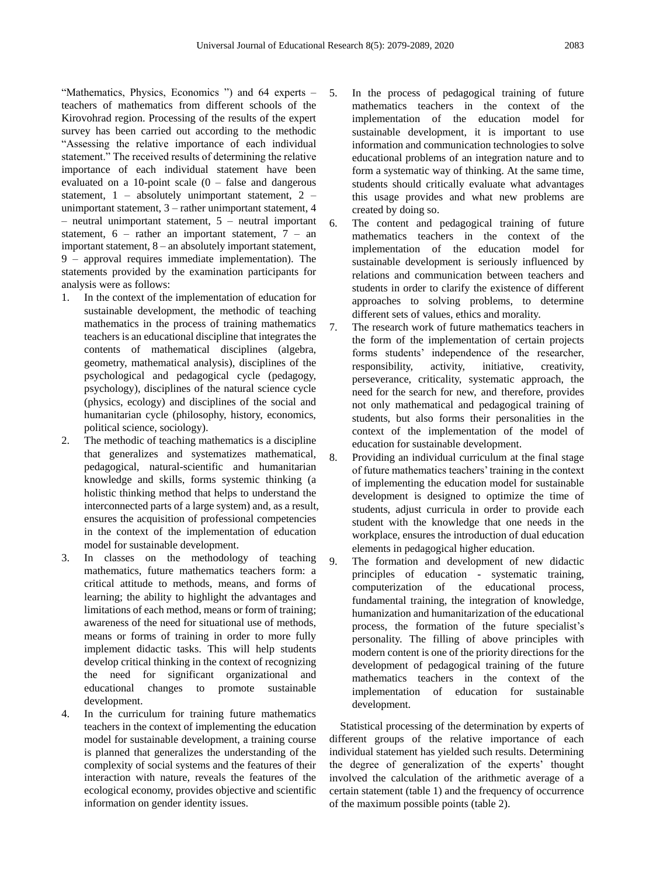"Mathematics, Physics, Economics ") and 64 experts teachers of mathematics from different schools of the Kirovohrad region. Processing of the results of the expert survey has been carried out according to the methodic "Assessing the relative importance of each individual statement." The received results of determining the relative importance of each individual statement have been evaluated on a 10-point scale  $(0 - false)$  and dangerous statement,  $1 -$  absolutely unimportant statement,  $2$ unimportant statement, 3 – rather unimportant statement, 4 – neutral unimportant statement, 5 – neutral important statement,  $6$  – rather an important statement,  $7$  – an important statement, 8 – an absolutely important statement, 9 – approval requires immediate implementation). The statements provided by the examination participants for analysis were as follows:

- 1. In the context of the implementation of education for sustainable development, the methodic of teaching mathematics in the process of training mathematics teachers is an educational discipline that integrates the contents of mathematical disciplines (algebra, geometry, mathematical analysis), disciplines of the psychological and pedagogical cycle (pedagogy, psychology), disciplines of the natural science cycle (physics, ecology) and disciplines of the social and humanitarian cycle (philosophy, history, economics, political science, sociology).
- 2. The methodic of teaching mathematics is a discipline that generalizes and systematizes mathematical, pedagogical, natural-scientific and humanitarian knowledge and skills, forms systemic thinking (a holistic thinking method that helps to understand the interconnected parts of a large system) and, as a result, ensures the acquisition of professional competencies in the context of the implementation of education model for sustainable development.
- 3. In classes on the methodology of teaching mathematics, future mathematics teachers form: a critical attitude to methods, means, and forms of learning; the ability to highlight the advantages and limitations of each method, means or form of training; awareness of the need for situational use of methods, means or forms of training in order to more fully implement didactic tasks. This will help students develop critical thinking in the context of recognizing the need for significant organizational and educational changes to promote sustainable development.
- 4. In the curriculum for training future mathematics teachers in the context of implementing the education model for sustainable development, a training course is planned that generalizes the understanding of the complexity of social systems and the features of their interaction with nature, reveals the features of the ecological economy, provides objective and scientific information on gender identity issues.
- 5. In the process of pedagogical training of future mathematics teachers in the context of the implementation of the education model for sustainable development, it is important to use information and communication technologies to solve educational problems of an integration nature and to form a systematic way of thinking. At the same time, students should critically evaluate what advantages this usage provides and what new problems are created by doing so.
- 6. The content and pedagogical training of future mathematics teachers in the context of the implementation of the education model for sustainable development is seriously influenced by relations and communication between teachers and students in order to clarify the existence of different approaches to solving problems, to determine different sets of values, ethics and morality.
- 7. The research work of future mathematics teachers in the form of the implementation of certain projects forms students' independence of the researcher, responsibility, activity, initiative, creativity, perseverance, criticality, systematic approach, the need for the search for new, and therefore, provides not only mathematical and pedagogical training of students, but also forms their personalities in the context of the implementation of the model of education for sustainable development.
- 8. Providing an individual curriculum at the final stage of future mathematics teachers' training in the context of implementing the education model for sustainable development is designed to optimize the time of students, adjust curricula in order to provide each student with the knowledge that one needs in the workplace, ensures the introduction of dual education elements in pedagogical higher education.
- 9. The formation and development of new didactic principles of education - systematic training, computerization of the educational process, fundamental training, the integration of knowledge, humanization and humanitarization of the educational process, the formation of the future specialist's personality. The filling of above principles with modern content is one of the priority directions for the development of pedagogical training of the future mathematics teachers in the context of the implementation of education for sustainable development.

Statistical processing of the determination by experts of different groups of the relative importance of each individual statement has yielded such results. Determining the degree of generalization of the experts' thought involved the calculation of the arithmetic average of a certain statement (table 1) and the frequency of occurrence of the maximum possible points (table 2).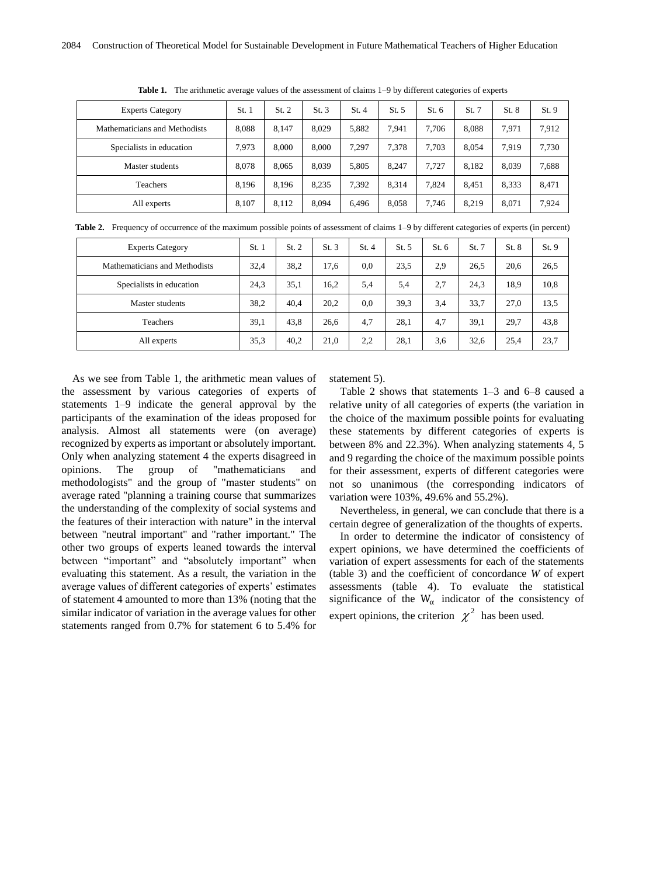| <b>Experts Category</b>       | St.1  | St. 2 | St.3  | St.4  | St. 5 | St. 6 | St. 7 | St. 8 | St.9  |
|-------------------------------|-------|-------|-------|-------|-------|-------|-------|-------|-------|
| Mathematicians and Methodists | 8.088 | 8.147 | 8.029 | 5,882 | 7.941 | 7.706 | 8.088 | 7.971 | 7,912 |
| Specialists in education      | 7.973 | 8.000 | 8.000 | 7.297 | 7.378 | 7.703 | 8.054 | 7.919 | 7,730 |
| Master students               | 8,078 | 8.065 | 8.039 | 5.805 | 8.247 | 7.727 | 8.182 | 8.039 | 7,688 |
| Teachers                      | 8.196 | 8.196 | 8.235 | 7.392 | 8.314 | 7.824 | 8.451 | 8,333 | 8,471 |
| All experts                   | 8.107 | 8.112 | 8.094 | 6.496 | 8.058 | 7.746 | 8.219 | 8.071 | 7,924 |

**Table 1.** The arithmetic average values of the assessment of claims 1–9 by different categories of experts

|  |  | Table 2. Frequency of occurrence of the maximum possible points of assessment of claims 1-9 by different categories of experts (in percent) |  |  |  |  |  |  |
|--|--|---------------------------------------------------------------------------------------------------------------------------------------------|--|--|--|--|--|--|
|--|--|---------------------------------------------------------------------------------------------------------------------------------------------|--|--|--|--|--|--|

| <b>Experts Category</b>       | St.1 | St. 2 | St.3 | St.4 | St. 5 | St. 6 | St. 7 | St. 8 | St.9 |
|-------------------------------|------|-------|------|------|-------|-------|-------|-------|------|
| Mathematicians and Methodists | 32,4 | 38,2  | 17.6 | 0.0  | 23.5  | 2.9   | 26.5  | 20.6  | 26,5 |
| Specialists in education      | 24,3 | 35,1  | 16.2 | 5,4  | 5.4   | 2,7   | 24.3  | 18.9  | 10,8 |
| Master students               | 38,2 | 40.4  | 20,2 | 0.0  | 39.3  | 3,4   | 33,7  | 27,0  | 13,5 |
| Teachers                      | 39,1 | 43,8  | 26.6 | 4,7  | 28.1  | 4,7   | 39,1  | 29.7  | 43,8 |
| All experts                   | 35,3 | 40,2  | 21,0 | 2,2  | 28.1  | 3,6   | 32,6  | 25,4  | 23,7 |

As we see from Table 1, the arithmetic mean values of the assessment by various categories of experts of statements 1–9 indicate the general approval by the participants of the examination of the ideas proposed for analysis. Almost all statements were (on average) recognized by experts as important or absolutely important. Only when analyzing statement 4 the experts disagreed in opinions. The group of "mathematicians and methodologists" and the group of "master students" on average rated "planning a training course that summarizes the understanding of the complexity of social systems and the features of their interaction with nature" in the interval between "neutral important" and "rather important." The other two groups of experts leaned towards the interval between "important" and "absolutely important" when evaluating this statement. As a result, the variation in the average values of different categories of experts' estimates of statement 4 amounted to more than 13% (noting that the similar indicator of variation in the average values for other statements ranged from 0.7% for statement 6 to 5.4% for

statement 5).

Table 2 shows that statements 1–3 and 6–8 caused a relative unity of all categories of experts (the variation in the choice of the maximum possible points for evaluating these statements by different categories of experts is between 8% and 22.3%). When analyzing statements 4, 5 and 9 regarding the choice of the maximum possible points for their assessment, experts of different categories were not so unanimous (the corresponding indicators of variation were 103%, 49.6% and 55.2%).

Nevertheless, in general, we can conclude that there is a certain degree of generalization of the thoughts of experts.

In order to determine the indicator of consistency of expert opinions, we have determined the coefficients of variation of expert assessments for each of the statements (table 3) and the coefficient of concordance *W* of expert assessments (table 4). To evaluate the statistical significance of the  $W_{\alpha}$  indicator of the consistency of expert opinions, the criterion  $\chi^2$  has been used.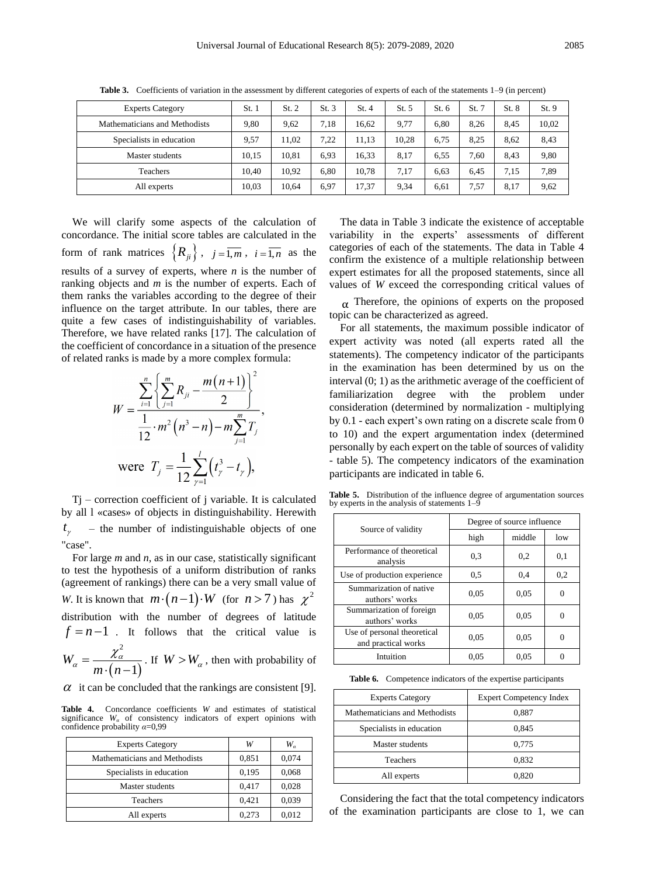| <b>Experts Category</b>       | St. 1 | St. 2 | St.3 | St.4  | St. 5 | St. 6 | St. 7 | St. 8 | St. 9 |
|-------------------------------|-------|-------|------|-------|-------|-------|-------|-------|-------|
| Mathematicians and Methodists | 9,80  | 9.62  | 7.18 | 16.62 | 9,77  | 6.80  | 8.26  | 8.45  | 10,02 |
| Specialists in education      | 9.57  | 11.02 | 7.22 | 11.13 | 10.28 | 6.75  | 8.25  | 8.62  | 8,43  |
| Master students               | 10.15 | 10.81 | 6.93 | 16.33 | 8.17  | 6,55  | 7.60  | 8.43  | 9,80  |
| Teachers                      | 10.40 | 10.92 | 6.80 | 10.78 | 7.17  | 6.63  | 6.45  | 7.15  | 7,89  |
| All experts                   | 10.03 | 10.64 | 6.97 | 17,37 | 9.34  | 6,61  | 7.57  | 8.17  | 9,62  |

**Table 3.** Coefficients of variation in the assessment by different categories of experts of each of the statements 1–9 (in percent)

We will clarify some aspects of the calculation of concordance. The initial score tables are calculated in the form of rank matrices  $\{R_{ji}\}\,$ ,  $j = \overline{1,m}$ ,  $i = \overline{1,n}$  as the results of a survey of experts, where *n* is the number of ranking objects and *m* is the number of experts. Each of them ranks the variables according to the degree of their influence on the target attribute. In our tables, there are quite a few cases of indistinguishability of variables. Therefore, we have related ranks [17]. The calculation of the coefficient of concordance in a situation of the presence of related ranks is made by a more complex formula:

$$
W = \frac{\sum_{i=1}^{n} \left\{ \sum_{j=1}^{m} R_{ji} - \frac{m(n+1)}{2} \right\}^{2}}{\frac{1}{12} \cdot m^{2} \left( n^{3} - n \right) - m \sum_{j=1}^{m} T_{j}},
$$
  
were 
$$
T_{j} = \frac{1}{12} \sum_{\gamma=1}^{l} \left( t_{\gamma}^{3} - t_{\gamma} \right),
$$

Tj – correction coefficient of j variable. It is calculated by all l «cases» of objects in distinguishability. Herewith  $t_{\gamma}$  – the number of indistinguishable objects of one "case".

For large *m* and *n*, as in our case, statistically significant to test the hypothesis of a uniform distribution of ranks (agreement of rankings) there can be a very small value of *W*. It is known that  $m \cdot (n-1) \cdot W$  (for  $n > 7$ ) has  $\chi^2$ distribution with the number of degrees of latitude  $f = n - 1$  . It follows that the critical value is  $\overline{(n-1)}$ . 2 1 *W*  $\alpha' = \frac{\lambda \alpha}{m \cdot (n)}$  $=-\frac{\chi}{\sqrt{\frac{2}{\chi}}}\times$  $\frac{\lambda_{\alpha}}{\lambda_{\alpha}}$ . If  $W > W_{\alpha}$ , then with probability of

 $\alpha$  it can be concluded that the rankings are consistent [9].

**Table 4.** Concordance coefficients *W* and estimates of statistical significance *W<sup>α</sup>* of consistency indicators of expert opinions with confidence probability *α*=0,99

| <b>Experts Category</b>       | W     | W.    |
|-------------------------------|-------|-------|
| Mathematicians and Methodists | 0,851 | 0,074 |
| Specialists in education      | 0,195 | 0,068 |
| Master students               | 0,417 | 0,028 |
| Teachers                      | 0,421 | 0,039 |
| All experts                   | 0,273 | 0.012 |

The data in Table 3 indicate the existence of acceptable variability in the experts' assessments of different categories of each of the statements. The data in Table 4 confirm the existence of a multiple relationship between expert estimates for all the proposed statements, since all values of *W* exceed the corresponding critical values of

 $\alpha$  Therefore, the opinions of experts on the proposed topic can be characterized as agreed.

For all statements, the maximum possible indicator of expert activity was noted (all experts rated all the statements). The competency indicator of the participants in the examination has been determined by us on the interval (0; 1) as the arithmetic average of the coefficient of familiarization degree with the problem under consideration (determined by normalization - multiplying by 0.1 - each expert's own rating on a discrete scale from 0 to 10) and the expert argumentation index (determined personally by each expert on the table of sources of validity - table 5). The competency indicators of the examination participants are indicated in table 6.

**Table 5.** Distribution of the influence degree of argumentation sources by experts in the analysis of statements 1–9

|                                                    | Degree of source influence |        |     |  |  |
|----------------------------------------------------|----------------------------|--------|-----|--|--|
| Source of validity                                 | high                       | middle | low |  |  |
| Performance of theoretical<br>analysis             | 0.3                        | 0,2    | 0,1 |  |  |
| Use of production experience                       | 0.5                        | 0,4    | 0,2 |  |  |
| Summarization of native<br>authors' works          | 0.05                       | 0.05   | 0   |  |  |
| Summarization of foreign<br>authors' works         | 0.05                       | 0.05   | 0   |  |  |
| Use of personal theoretical<br>and practical works | 0.05                       | 0.05   |     |  |  |
| Intuition                                          | 0.05                       | 0.05   |     |  |  |

**Table 6.** Competence indicators of the expertise participants

| <b>Experts Category</b>       | <b>Expert Competency Index</b> |
|-------------------------------|--------------------------------|
| Mathematicians and Methodists | 0,887                          |
| Specialists in education      | 0,845                          |
| Master students               | 0,775                          |
| Teachers                      | 0,832                          |
| All experts                   | 0.820                          |

Considering the fact that the total competency indicators of the examination participants are close to 1, we can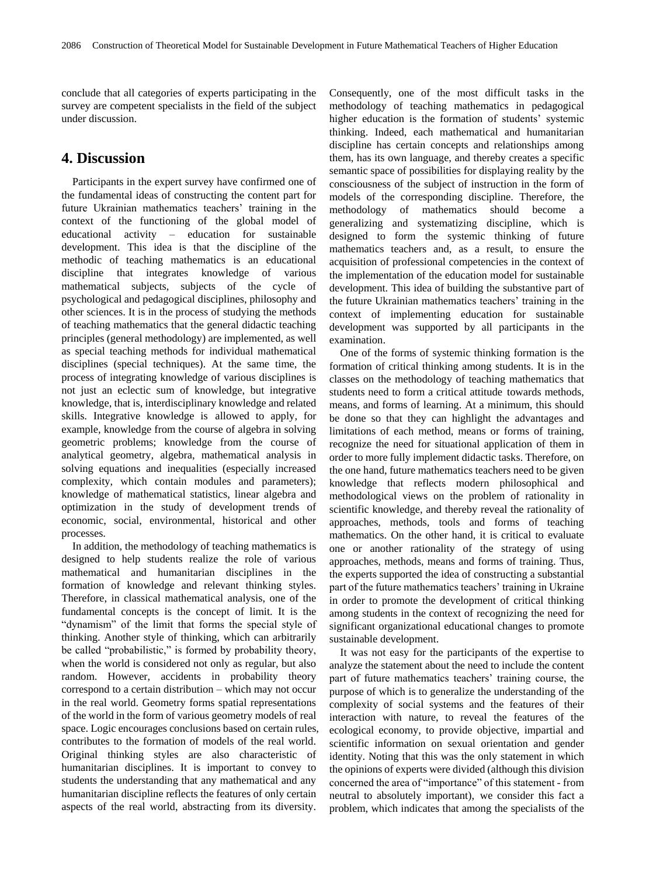conclude that all categories of experts participating in the survey are competent specialists in the field of the subject under discussion.

### **4. Discussion**

Participants in the expert survey have confirmed one of the fundamental ideas of constructing the content part for future Ukrainian mathematics teachers' training in the context of the functioning of the global model of educational activity – education for sustainable development. This idea is that the discipline of the methodic of teaching mathematics is an educational discipline that integrates knowledge of various mathematical subjects, subjects of the cycle of psychological and pedagogical disciplines, philosophy and other sciences. It is in the process of studying the methods of teaching mathematics that the general didactic teaching principles (general methodology) are implemented, as well as special teaching methods for individual mathematical disciplines (special techniques). At the same time, the process of integrating knowledge of various disciplines is not just an eclectic sum of knowledge, but integrative knowledge, that is, interdisciplinary knowledge and related skills. Integrative knowledge is allowed to apply, for example, knowledge from the course of algebra in solving geometric problems; knowledge from the course of analytical geometry, algebra, mathematical analysis in solving equations and inequalities (especially increased complexity, which contain modules and parameters); knowledge of mathematical statistics, linear algebra and optimization in the study of development trends of economic, social, environmental, historical and other processes.

In addition, the methodology of teaching mathematics is designed to help students realize the role of various mathematical and humanitarian disciplines in the formation of knowledge and relevant thinking styles. Therefore, in classical mathematical analysis, one of the fundamental concepts is the concept of limit. It is the "dynamism" of the limit that forms the special style of thinking. Another style of thinking, which can arbitrarily be called "probabilistic," is formed by probability theory, when the world is considered not only as regular, but also random. However, accidents in probability theory correspond to a certain distribution – which may not occur in the real world. Geometry forms spatial representations of the world in the form of various geometry models of real space. Logic encourages conclusions based on certain rules, contributes to the formation of models of the real world. Original thinking styles are also characteristic of humanitarian disciplines. It is important to convey to students the understanding that any mathematical and any humanitarian discipline reflects the features of only certain aspects of the real world, abstracting from its diversity.

Consequently, one of the most difficult tasks in the methodology of teaching mathematics in pedagogical higher education is the formation of students' systemic thinking. Indeed, each mathematical and humanitarian discipline has certain concepts and relationships among them, has its own language, and thereby creates a specific semantic space of possibilities for displaying reality by the consciousness of the subject of instruction in the form of models of the corresponding discipline. Therefore, the methodology of mathematics should become a generalizing and systematizing discipline, which is designed to form the systemic thinking of future mathematics teachers and, as a result, to ensure the acquisition of professional competencies in the context of the implementation of the education model for sustainable development. This idea of building the substantive part of the future Ukrainian mathematics teachers' training in the context of implementing education for sustainable development was supported by all participants in the examination.

One of the forms of systemic thinking formation is the formation of critical thinking among students. It is in the classes on the methodology of teaching mathematics that students need to form a critical attitude towards methods, means, and forms of learning. At a minimum, this should be done so that they can highlight the advantages and limitations of each method, means or forms of training, recognize the need for situational application of them in order to more fully implement didactic tasks. Therefore, on the one hand, future mathematics teachers need to be given knowledge that reflects modern philosophical and methodological views on the problem of rationality in scientific knowledge, and thereby reveal the rationality of approaches, methods, tools and forms of teaching mathematics. On the other hand, it is critical to evaluate one or another rationality of the strategy of using approaches, methods, means and forms of training. Thus, the experts supported the idea of constructing a substantial part of the future mathematics teachers' training in Ukraine in order to promote the development of critical thinking among students in the context of recognizing the need for significant organizational educational changes to promote sustainable development.

It was not easy for the participants of the expertise to analyze the statement about the need to include the content part of future mathematics teachers' training course, the purpose of which is to generalize the understanding of the complexity of social systems and the features of their interaction with nature, to reveal the features of the ecological economy, to provide objective, impartial and scientific information on sexual orientation and gender identity. Noting that this was the only statement in which the opinions of experts were divided (although this division concerned the area of "importance" of this statement - from neutral to absolutely important), we consider this fact a problem, which indicates that among the specialists of the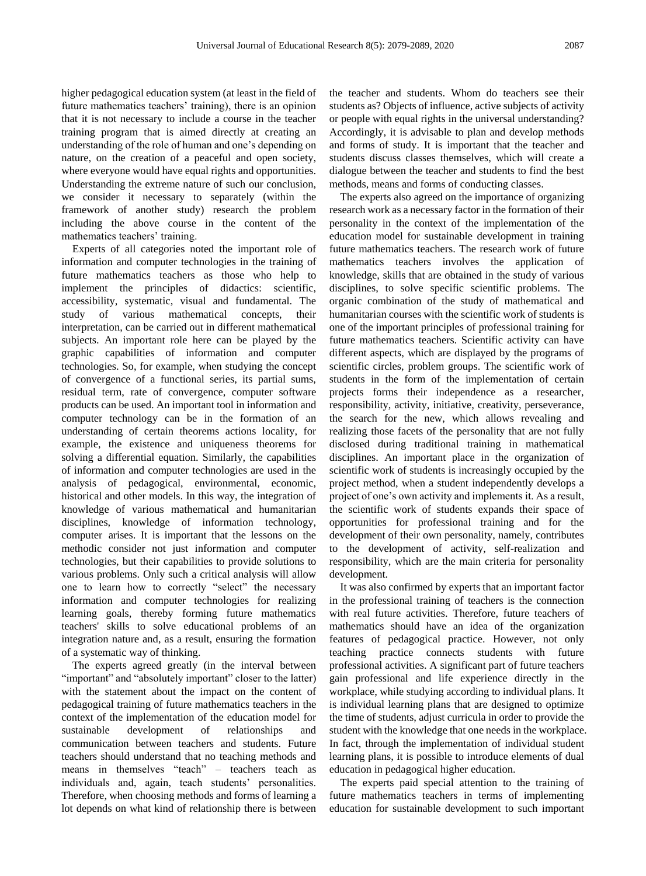higher pedagogical education system (at least in the field of future mathematics teachers' training), there is an opinion that it is not necessary to include a course in the teacher training program that is aimed directly at creating an understanding of the role of human and one's depending on nature, on the creation of a peaceful and open society, where everyone would have equal rights and opportunities. Understanding the extreme nature of such our conclusion, we consider it necessary to separately (within the framework of another study) research the problem including the above course in the content of the mathematics teachers' training.

Experts of all categories noted the important role of information and computer technologies in the training of future mathematics teachers as those who help to implement the principles of didactics: scientific, accessibility, systematic, visual and fundamental. The study of various mathematical concepts, their interpretation, can be carried out in different mathematical subjects. An important role here can be played by the graphic capabilities of information and computer technologies. So, for example, when studying the concept of convergence of a functional series, its partial sums, residual term, rate of convergence, computer software products can be used. An important tool in information and computer technology can be in the formation of an understanding of certain theorems actions locality, for example, the existence and uniqueness theorems for solving a differential equation. Similarly, the capabilities of information and computer technologies are used in the analysis of pedagogical, environmental, economic, historical and other models. In this way, the integration of knowledge of various mathematical and humanitarian disciplines, knowledge of information technology, computer arises. It is important that the lessons on the methodic consider not just information and computer technologies, but their capabilities to provide solutions to various problems. Only such a critical analysis will allow one to learn how to correctly "select" the necessary information and computer technologies for realizing learning goals, thereby forming future mathematics teachers' skills to solve educational problems of an integration nature and, as a result, ensuring the formation of a systematic way of thinking.

The experts agreed greatly (in the interval between "important" and "absolutely important" closer to the latter) with the statement about the impact on the content of pedagogical training of future mathematics teachers in the context of the implementation of the education model for sustainable development of relationships and communication between teachers and students. Future teachers should understand that no teaching methods and means in themselves "teach" – teachers teach as individuals and, again, teach students' personalities. Therefore, when choosing methods and forms of learning a lot depends on what kind of relationship there is between

the teacher and students. Whom do teachers see their students as? Objects of influence, active subjects of activity or people with equal rights in the universal understanding? Accordingly, it is advisable to plan and develop methods and forms of study. It is important that the teacher and students discuss classes themselves, which will create a dialogue between the teacher and students to find the best methods, means and forms of conducting classes.

The experts also agreed on the importance of organizing research work as a necessary factor in the formation of their personality in the context of the implementation of the education model for sustainable development in training future mathematics teachers. The research work of future mathematics teachers involves the application of knowledge, skills that are obtained in the study of various disciplines, to solve specific scientific problems. The organic combination of the study of mathematical and humanitarian courses with the scientific work of students is one of the important principles of professional training for future mathematics teachers. Scientific activity can have different aspects, which are displayed by the programs of scientific circles, problem groups. The scientific work of students in the form of the implementation of certain projects forms their independence as a researcher, responsibility, activity, initiative, creativity, perseverance, the search for the new, which allows revealing and realizing those facets of the personality that are not fully disclosed during traditional training in mathematical disciplines. An important place in the organization of scientific work of students is increasingly occupied by the project method, when a student independently develops a project of one's own activity and implements it. As a result, the scientific work of students expands their space of opportunities for professional training and for the development of their own personality, namely, contributes to the development of activity, self-realization and responsibility, which are the main criteria for personality development.

It was also confirmed by experts that an important factor in the professional training of teachers is the connection with real future activities. Therefore, future teachers of mathematics should have an idea of the organization features of pedagogical practice. However, not only teaching practice connects students with future professional activities. A significant part of future teachers gain professional and life experience directly in the workplace, while studying according to individual plans. It is individual learning plans that are designed to optimize the time of students, adjust curricula in order to provide the student with the knowledge that one needs in the workplace. In fact, through the implementation of individual student learning plans, it is possible to introduce elements of dual education in pedagogical higher education.

The experts paid special attention to the training of future mathematics teachers in terms of implementing education for sustainable development to such important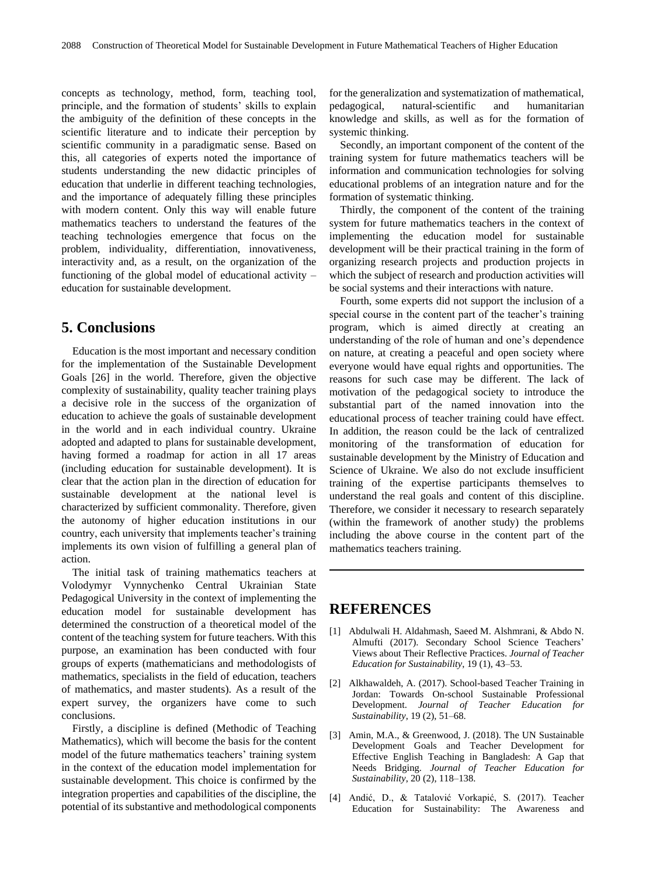concepts as technology, method, form, teaching tool, principle, and the formation of students' skills to explain the ambiguity of the definition of these concepts in the scientific literature and to indicate their perception by scientific community in a paradigmatic sense. Based on this, all categories of experts noted the importance of students understanding the new didactic principles of education that underlie in different teaching technologies, and the importance of adequately filling these principles with modern content. Only this way will enable future mathematics teachers to understand the features of the teaching technologies emergence that focus on the problem, individuality, differentiation, innovativeness, interactivity and, as a result, on the organization of the functioning of the global model of educational activity – education for sustainable development.

## **5. Conclusions**

Education is the most important and necessary condition for the implementation of the Sustainable Development Goals [26] in the world. Therefore, given the objective complexity of sustainability, quality teacher training plays a decisive role in the success of the organization of education to achieve the goals of sustainable development in the world and in each individual country. Ukraine adopted and adapted to plans for sustainable development, having formed a roadmap for action in all 17 areas (including education for sustainable development). It is clear that the action plan in the direction of education for sustainable development at the national level is characterized by sufficient commonality. Therefore, given the autonomy of higher education institutions in our country, each university that implements teacher's training implements its own vision of fulfilling a general plan of action.

The initial task of training mathematics teachers at Volodymyr Vynnychenko Central Ukrainian State Pedagogical University in the context of implementing the education model for sustainable development has determined the construction of a theoretical model of the content of the teaching system for future teachers. With this purpose, an examination has been conducted with four groups of experts (mathematicians and methodologists of mathematics, specialists in the field of education, teachers of mathematics, and master students). As a result of the expert survey, the organizers have come to such conclusions.

Firstly, a discipline is defined (Methodic of Teaching Mathematics), which will become the basis for the content model of the future mathematics teachers' training system in the context of the education model implementation for sustainable development. This choice is confirmed by the integration properties and capabilities of the discipline, the potential of its substantive and methodological components

for the generalization and systematization of mathematical, pedagogical, natural-scientific and humanitarian knowledge and skills, as well as for the formation of systemic thinking.

Secondly, an important component of the content of the training system for future mathematics teachers will be information and communication technologies for solving educational problems of an integration nature and for the formation of systematic thinking.

Thirdly, the component of the content of the training system for future mathematics teachers in the context of implementing the education model for sustainable development will be their practical training in the form of organizing research projects and production projects in which the subject of research and production activities will be social systems and their interactions with nature.

Fourth, some experts did not support the inclusion of a special course in the content part of the teacher's training program, which is aimed directly at creating an understanding of the role of human and one's dependence on nature, at creating a peaceful and open society where everyone would have equal rights and opportunities. The reasons for such case may be different. The lack of motivation of the pedagogical society to introduce the substantial part of the named innovation into the educational process of teacher training could have effect. In addition, the reason could be the lack of centralized monitoring of the transformation of education for sustainable development by the Ministry of Education and Science of Ukraine. We also do not exclude insufficient training of the expertise participants themselves to understand the real goals and content of this discipline. Therefore, we consider it necessary to research separately (within the framework of another study) the problems including the above course in the content part of the mathematics teachers training.

# **REFERENCES**

- [1] Abdulwali H. Aldahmash, Saeed M. Alshmrani, & Abdo N. Almufti (2017). Secondary School Science Teachers' Views about Their Reflective Practices. *Journal of Teacher Education for Sustainability*, 19 (1), 43–53.
- [2] Alkhawaldeh, A. (2017). School-based Teacher Training in Jordan: Towards On-school Sustainable Professional Development. *Journal of Teacher Education for Sustainability*, 19 (2), 51–68.
- [3] Amin, M.A., & Greenwood, J. (2018). The UN Sustainable Development Goals and Teacher Development for Effective English Teaching in Bangladesh: A Gap that Needs Bridging. *Journal of Teacher Education for Sustainability*, 20 (2), 118–138.
- [4] Andić, D., & Tatalović Vorkapić, S. (2017). Teacher Education for Sustainability: The Awareness and